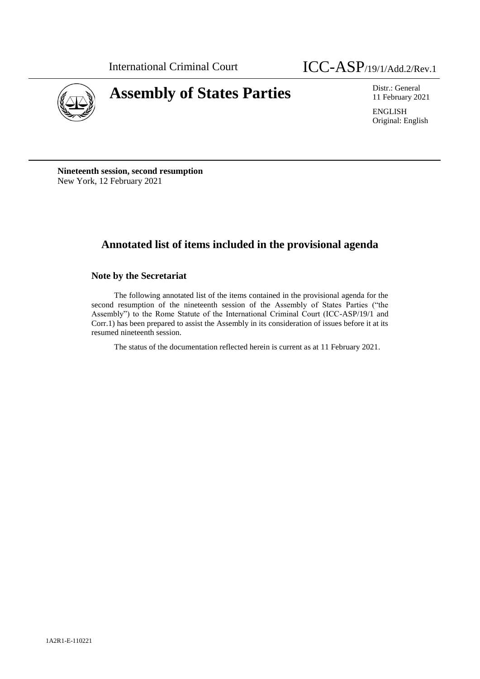

# **Assembly of States Parties** Distr.: General Distr.: General

11 February 2021

ENGLISH Original: English

**Nineteenth session, second resumption** New York, 12 February 2021

# **Annotated list of items included in the provisional agenda**

# **Note by the Secretariat**

The following annotated list of the items contained in the provisional agenda for the second resumption of the nineteenth session of the Assembly of States Parties ("the Assembly") to the Rome Statute of the International Criminal Court (ICC-ASP/19/1 and Corr.1) has been prepared to assist the Assembly in its consideration of issues before it at its resumed nineteenth session.

The status of the documentation reflected herein is current as at 11 February 2021.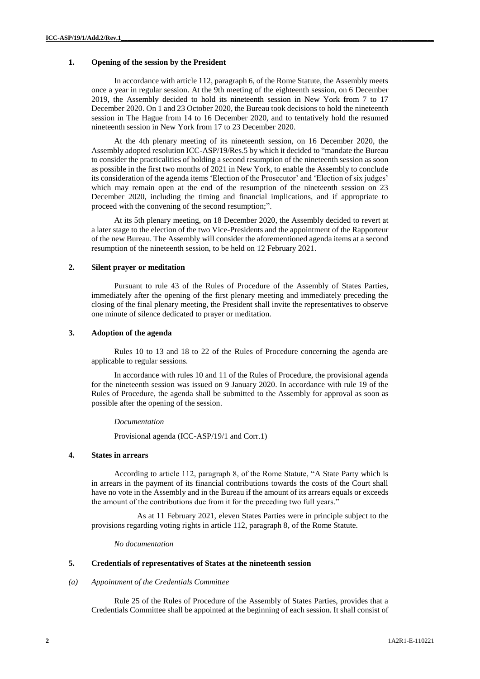# **1. Opening of the session by the President**

In accordance with article 112, paragraph 6, of the Rome Statute, the Assembly meets once a year in regular session. At the 9th meeting of the eighteenth session, on 6 December 2019, the Assembly decided to hold its nineteenth session in New York from 7 to 17 December 2020. On 1 and 23 October 2020, the Bureau took decisions to hold the nineteenth session in The Hague from 14 to 16 December 2020, and to tentatively hold the resumed nineteenth session in New York from 17 to 23 December 2020.

At the 4th plenary meeting of its nineteenth session, on 16 December 2020, the Assembly adopted resolution ICC-ASP/19/Res.5 by which it decided to "mandate the Bureau to consider the practicalities of holding a second resumption of the nineteenth session as soon as possible in the first two months of 2021 in New York, to enable the Assembly to conclude its consideration of the agenda items 'Election of the Prosecutor' and 'Election of six judges' which may remain open at the end of the resumption of the nineteenth session on 23 December 2020, including the timing and financial implications, and if appropriate to proceed with the convening of the second resumption;".

At its 5th plenary meeting, on 18 December 2020, the Assembly decided to revert at a later stage to the election of the two Vice-Presidents and the appointment of the Rapporteur of the new Bureau. The Assembly will consider the aforementioned agenda items at a second resumption of the nineteenth session, to be held on 12 February 2021.

#### **2. Silent prayer or meditation**

Pursuant to rule 43 of the Rules of Procedure of the Assembly of States Parties, immediately after the opening of the first plenary meeting and immediately preceding the closing of the final plenary meeting, the President shall invite the representatives to observe one minute of silence dedicated to prayer or meditation.

# **3. Adoption of the agenda**

Rules 10 to 13 and 18 to 22 of the Rules of Procedure concerning the agenda are applicable to regular sessions.

In accordance with rules 10 and 11 of the Rules of Procedure, the provisional agenda for the nineteenth session was issued on 9 January 2020. In accordance with rule 19 of the Rules of Procedure, the agenda shall be submitted to the Assembly for approval as soon as possible after the opening of the session.

# *Documentation*

Provisional agenda (ICC-ASP/19/1 and Corr.1)

# **4. States in arrears**

According to article 112, paragraph 8, of the Rome Statute, "A State Party which is in arrears in the payment of its financial contributions towards the costs of the Court shall have no vote in the Assembly and in the Bureau if the amount of its arrears equals or exceeds the amount of the contributions due from it for the preceding two full years."

As at 11 February 2021, eleven States Parties were in principle subject to the provisions regarding voting rights in article 112, paragraph 8, of the Rome Statute.

*No documentation*

#### **5. Credentials of representatives of States at the nineteenth session**

#### *(a) Appointment of the Credentials Committee*

Rule 25 of the Rules of Procedure of the Assembly of States Parties, provides that a Credentials Committee shall be appointed at the beginning of each session. It shall consist of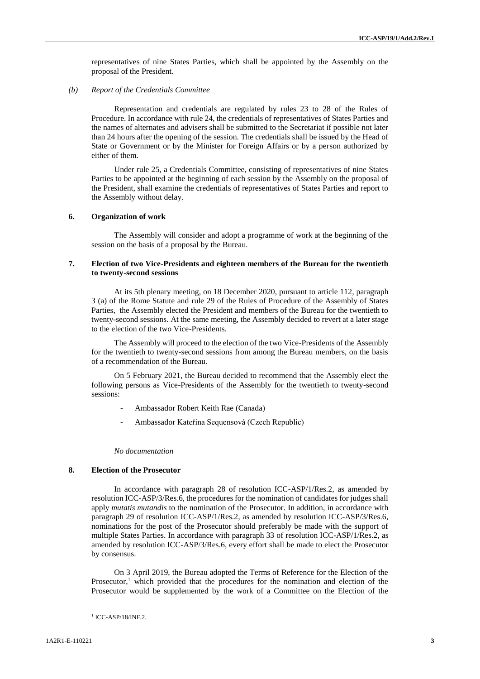representatives of nine States Parties, which shall be appointed by the Assembly on the proposal of the President.

#### *(b) Report of the Credentials Committee*

Representation and credentials are regulated by rules 23 to 28 of the Rules of Procedure. In accordance with rule 24, the credentials of representatives of States Parties and the names of alternates and advisers shall be submitted to the Secretariat if possible not later than 24 hours after the opening of the session. The credentials shall be issued by the Head of State or Government or by the Minister for Foreign Affairs or by a person authorized by either of them.

Under rule 25, a Credentials Committee, consisting of representatives of nine States Parties to be appointed at the beginning of each session by the Assembly on the proposal of the President, shall examine the credentials of representatives of States Parties and report to the Assembly without delay.

#### **6. Organization of work**

The Assembly will consider and adopt a programme of work at the beginning of the session on the basis of a proposal by the Bureau.

# **7. Election of two Vice-Presidents and eighteen members of the Bureau for the twentieth to twenty-second sessions**

At its 5th plenary meeting, on 18 December 2020, pursuant to article 112, paragraph 3 (a) of the Rome Statute and rule 29 of the Rules of Procedure of the Assembly of States Parties, the Assembly elected the President and members of the Bureau for the twentieth to twenty-second sessions. At the same meeting, the Assembly decided to revert at a later stage to the election of the two Vice-Presidents.

The Assembly will proceed to the election of the two Vice-Presidents of the Assembly for the twentieth to twenty-second sessions from among the Bureau members, on the basis of a recommendation of the Bureau.

On 5 February 2021, the Bureau decided to recommend that the Assembly elect the following persons as Vice-Presidents of the Assembly for the twentieth to twenty-second sessions:

- Ambassador Robert Keith Rae (Canada)
- Ambassador Kateřina Sequensová (Czech Republic)

*No documentation*

#### **8. Election of the Prosecutor**

In accordance with paragraph 28 of resolution ICC-ASP/1/Res.2, as amended by resolution ICC-ASP/3/Res.6, the procedures for the nomination of candidates for judges shall apply *mutatis mutandis* to the nomination of the Prosecutor. In addition, in accordance with paragraph 29 of resolution ICC-ASP/1/Res.2, as amended by resolution ICC-ASP/3/Res.6, nominations for the post of the Prosecutor should preferably be made with the support of multiple States Parties. In accordance with paragraph 33 of resolution ICC-ASP/1/Res.2, as amended by resolution ICC-ASP/3/Res.6, every effort shall be made to elect the Prosecutor by consensus.

On 3 April 2019, the Bureau adopted the Terms of Reference for the Election of the Prosecutor,<sup>1</sup> which provided that the procedures for the nomination and election of the Prosecutor would be supplemented by the work of a Committee on the Election of the

 $\overline{a}$ 

<sup>&</sup>lt;sup>1</sup> ICC-ASP/18/INF.2.